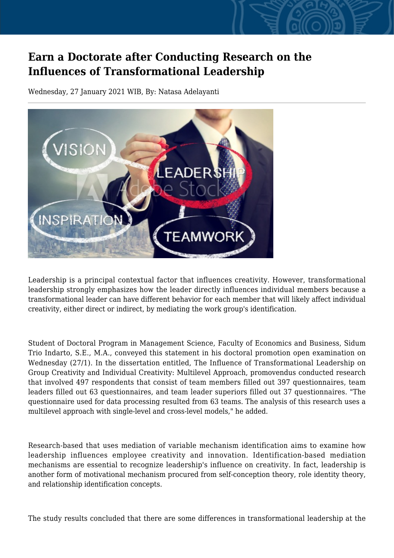## **Earn a Doctorate after Conducting Research on the Influences of Transformational Leadership**

Wednesday, 27 January 2021 WIB, By: Natasa Adelayanti



Leadership is a principal contextual factor that influences creativity. However, transformational leadership strongly emphasizes how the leader directly influences individual members because a transformational leader can have different behavior for each member that will likely affect individual creativity, either direct or indirect, by mediating the work group's identification.

Student of Doctoral Program in Management Science, Faculty of Economics and Business, Sidum Trio Indarto, S.E., M.A., conveyed this statement in his doctoral promotion open examination on Wednesday (27/1). In the dissertation entitled, The Influence of Transformational Leadership on Group Creativity and Individual Creativity: Multilevel Approach, promovendus conducted research that involved 497 respondents that consist of team members filled out 397 questionnaires, team leaders filled out 63 questionnaires, and team leader superiors filled out 37 questionnaires. "The questionnaire used for data processing resulted from 63 teams. The analysis of this research uses a multilevel approach with single-level and cross-level models," he added.

Research-based that uses mediation of variable mechanism identification aims to examine how leadership influences employee creativity and innovation. Identification-based mediation mechanisms are essential to recognize leadership's influence on creativity. In fact, leadership is another form of motivational mechanism procured from self-conception theory, role identity theory, and relationship identification concepts.

The study results concluded that there are some differences in transformational leadership at the